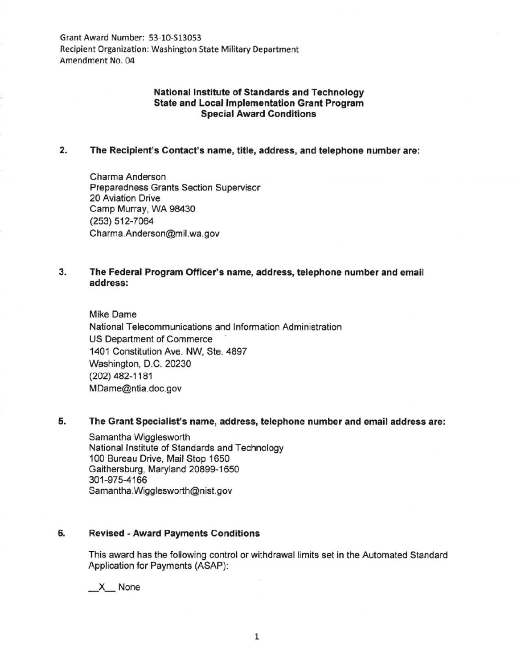Grant Award Number: 53-10-513053 Recipient Organization: Washington State Military Department Amendment No. 04

## National Institute of Standards and Technology State and Local Implementation Grant Program Special Award Conditions

#### 2. The Recipient's Contact's name, title, address, and telephone number are:

Charma Anderson Preparedness Grants Section Supervisor 20 Aviation Drive Camp Murray, WA 98430 (253) 512-7064 Charma.Anderson@mil. wa.gov

# 3. The Federal Program Officer's name, address, telephone number and email address:

Mike Dame National Telecommunications and Information Administration US Department of Commerce 1401 Constitution Ave. NW, Ste. 4897 Washington, D.C. 20230 (202) 482-1181 MDame@ntia.doc.gov

### 5. The Grant Specialist's name, address, telephone number and email address are:

Samantha Wigglesworth National Institute of Standards and Technology 100 Bureau Drive, Mail Stop 1650 Gaithersburg, Maryland 20899-1650 301-975-4166 Samantha.Wigglesworth@nist.gov

### 6. Revised - Award Payments Conditions

This award has the following control or withdrawal limits set in the Automated Standard Application for Payments (ASAP):

\_X\_ None